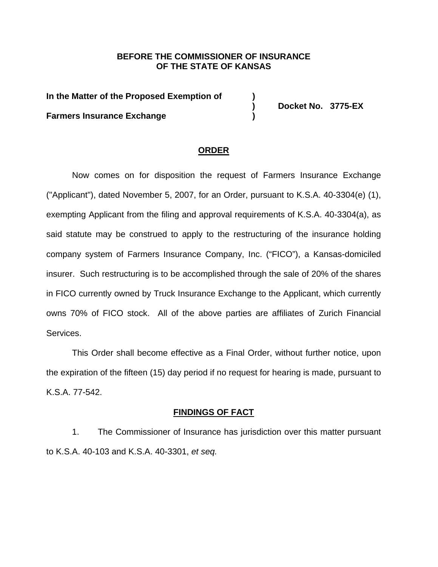# **BEFORE THE COMMISSIONER OF INSURANCE OF THE STATE OF KANSAS**

**In the Matter of the Proposed Exemption of ) Farmers Insurance Exchange )** 

**) Docket No. 3775-EX** 

## **ORDER**

Now comes on for disposition the request of Farmers Insurance Exchange ("Applicant"), dated November 5, 2007, for an Order, pursuant to K.S.A. 40-3304(e) (1), exempting Applicant from the filing and approval requirements of K.S.A. 40-3304(a), as said statute may be construed to apply to the restructuring of the insurance holding company system of Farmers Insurance Company, Inc. ("FICO"), a Kansas-domiciled insurer. Such restructuring is to be accomplished through the sale of 20% of the shares in FICO currently owned by Truck Insurance Exchange to the Applicant, which currently owns 70% of FICO stock. All of the above parties are affiliates of Zurich Financial Services.

This Order shall become effective as a Final Order, without further notice, upon the expiration of the fifteen (15) day period if no request for hearing is made, pursuant to K.S.A. 77-542.

### **FINDINGS OF FACT**

 1. The Commissioner of Insurance has jurisdiction over this matter pursuant to K.S.A. 40-103 and K.S.A. 40-3301, *et seq.*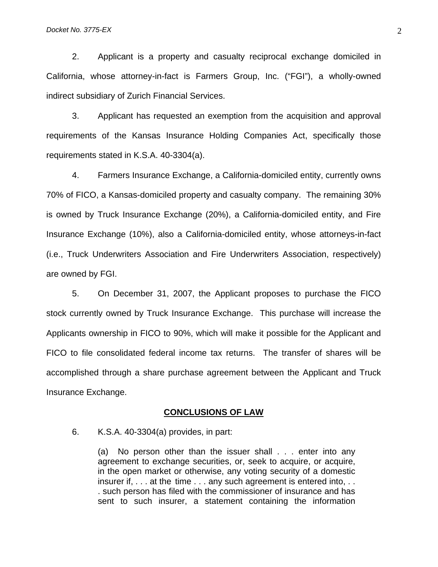2. Applicant is a property and casualty reciprocal exchange domiciled in California, whose attorney-in-fact is Farmers Group, Inc. ("FGI"), a wholly-owned indirect subsidiary of Zurich Financial Services.

3. Applicant has requested an exemption from the acquisition and approval requirements of the Kansas Insurance Holding Companies Act, specifically those requirements stated in K.S.A. 40-3304(a).

 4. Farmers Insurance Exchange, a California-domiciled entity, currently owns 70% of FICO, a Kansas-domiciled property and casualty company. The remaining 30% is owned by Truck Insurance Exchange (20%), a California-domiciled entity, and Fire Insurance Exchange (10%), also a California-domiciled entity, whose attorneys-in-fact (i.e., Truck Underwriters Association and Fire Underwriters Association, respectively) are owned by FGI.

 5. On December 31, 2007, the Applicant proposes to purchase the FICO stock currently owned by Truck Insurance Exchange. This purchase will increase the Applicants ownership in FICO to 90%, which will make it possible for the Applicant and FICO to file consolidated federal income tax returns. The transfer of shares will be accomplished through a share purchase agreement between the Applicant and Truck Insurance Exchange.

#### **CONCLUSIONS OF LAW**

6. K.S.A. 40-3304(a) provides, in part:

(a) No person other than the issuer shall . . . enter into any agreement to exchange securities, or, seek to acquire, or acquire, in the open market or otherwise, any voting security of a domestic insurer if, . . . at the time . . . any such agreement is entered into, . . . such person has filed with the commissioner of insurance and has sent to such insurer, a statement containing the information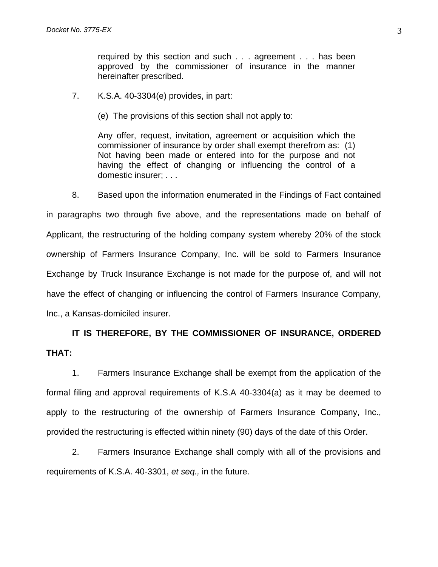required by this section and such . . . agreement . . . has been approved by the commissioner of insurance in the manner hereinafter prescribed.

- 7. K.S.A. 40-3304(e) provides, in part:
	- (e) The provisions of this section shall not apply to:

Any offer, request, invitation, agreement or acquisition which the commissioner of insurance by order shall exempt therefrom as: (1) Not having been made or entered into for the purpose and not having the effect of changing or influencing the control of a domestic insurer; . . .

 8. Based upon the information enumerated in the Findings of Fact contained in paragraphs two through five above, and the representations made on behalf of Applicant, the restructuring of the holding company system whereby 20% of the stock ownership of Farmers Insurance Company, Inc. will be sold to Farmers Insurance Exchange by Truck Insurance Exchange is not made for the purpose of, and will not have the effect of changing or influencing the control of Farmers Insurance Company, Inc., a Kansas-domiciled insurer.

# **IT IS THEREFORE, BY THE COMMISSIONER OF INSURANCE, ORDERED THAT:**

 1. Farmers Insurance Exchange shall be exempt from the application of the formal filing and approval requirements of K.S.A 40-3304(a) as it may be deemed to apply to the restructuring of the ownership of Farmers Insurance Company, Inc., provided the restructuring is effected within ninety (90) days of the date of this Order.

 2. Farmers Insurance Exchange shall comply with all of the provisions and requirements of K.S.A. 40-3301, *et seq.,* in the future.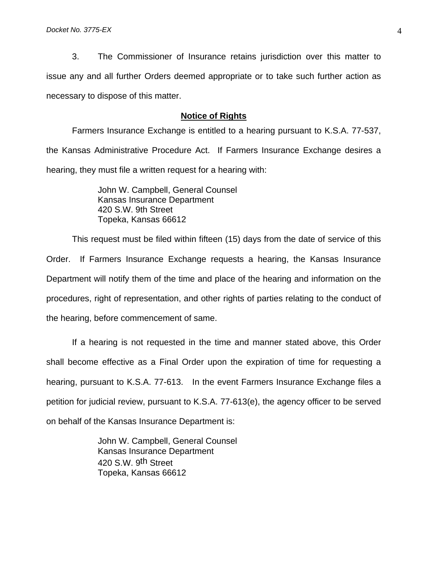3. The Commissioner of Insurance retains jurisdiction over this matter to issue any and all further Orders deemed appropriate or to take such further action as necessary to dispose of this matter.

## **Notice of Rights**

 Farmers Insurance Exchange is entitled to a hearing pursuant to K.S.A. 77-537, the Kansas Administrative Procedure Act. If Farmers Insurance Exchange desires a hearing, they must file a written request for a hearing with:

> John W. Campbell, General Counsel Kansas Insurance Department 420 S.W. 9th Street Topeka, Kansas 66612

 This request must be filed within fifteen (15) days from the date of service of this Order. If Farmers Insurance Exchange requests a hearing, the Kansas Insurance Department will notify them of the time and place of the hearing and information on the procedures, right of representation, and other rights of parties relating to the conduct of the hearing, before commencement of same.

 If a hearing is not requested in the time and manner stated above, this Order shall become effective as a Final Order upon the expiration of time for requesting a hearing, pursuant to K.S.A. 77-613. In the event Farmers Insurance Exchange files a petition for judicial review, pursuant to K.S.A. 77-613(e), the agency officer to be served on behalf of the Kansas Insurance Department is:

> John W. Campbell, General Counsel Kansas Insurance Department 420 S.W. 9<sup>th</sup> Street Topeka, Kansas 66612